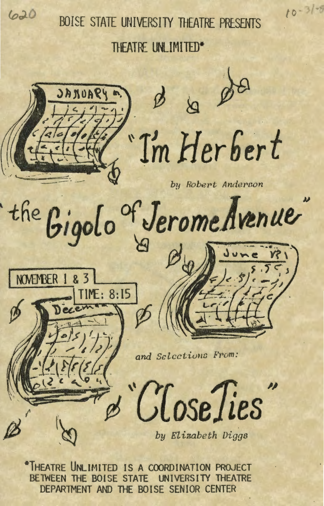

BOISE STATE UNIVERSITY THEATRE PRESENTS

 $10 - 31 - 8$ 

THEATRE UNLIMITED\*



\*THEATRE UNLIMITED IS A COORDINATION PROJECT BETWEEN THE BOISE STATE UNIVERSITY THEATRE DEPARTMENT AND THE BOISE SENIOR CENTER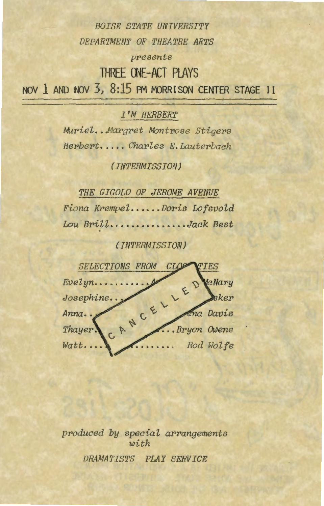*BOISE STATE UNIVERSITY DEPARTMENT OF THEATRE ARTS presents*  **THREE ONE-ACT PLAYS** 

NOV 1 AND NOV 3, 8:15 PM MORRISON CENTER STAGE II

 $I'M$  *HERBERT* 

*Muriel. .. Margret Montrose Stige\_rs Herbert ..... Charles E. Lauterbach* 

*(INTERMISSION)* 

*THE GIGOLO OF JEROME AVENUE Fiona Krempel •..... Doris Lofsvold Lou 'Brill ............... Jack Best* 

*(INTERMISSION)* 



*produced by special arrangements with DRAMATISTS PLAY SERVICE*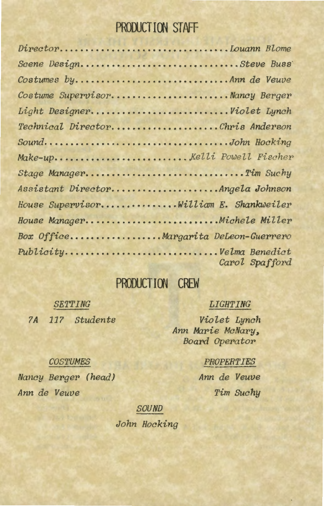# PRODUCTION STAFF

| DirectorDouann Blome                   |                |
|----------------------------------------|----------------|
| Scene DesignSteve Buss                 |                |
| Costumes byAnn de Veuve                |                |
| Costume SupervisorNancy Berger         |                |
| Light DesignerViolet Lynch             |                |
| Technical DirectorChris Anderson       |                |
| SoundJohn Hocking                      |                |
|                                        |                |
| Stage ManagerTim Suchy                 |                |
| Assistant DirectorAngela Johnson       |                |
| House SupervisorWilliam E. Shankweiler |                |
| House ManagerMichele Miller            |                |
| Box OfficeMargarita DeLeon-Guerrero    |                |
| PublicityVelma Benedict                | Carol Spafford |

### **PRODUCT! 00 CREW**

*SE'l'TING ?A 11? Students* 

#### *LIGHTING*

*Via let Lynch Ann Marie McNar•y, Board Operator* 

#### *PROPERTIES*

*Ann de Veuve Tim Suchy* 

#### *COSTUMES*

*Nancy Berger (head) Arm de Veuve* 

*SOUND* 

*.John Hocking*